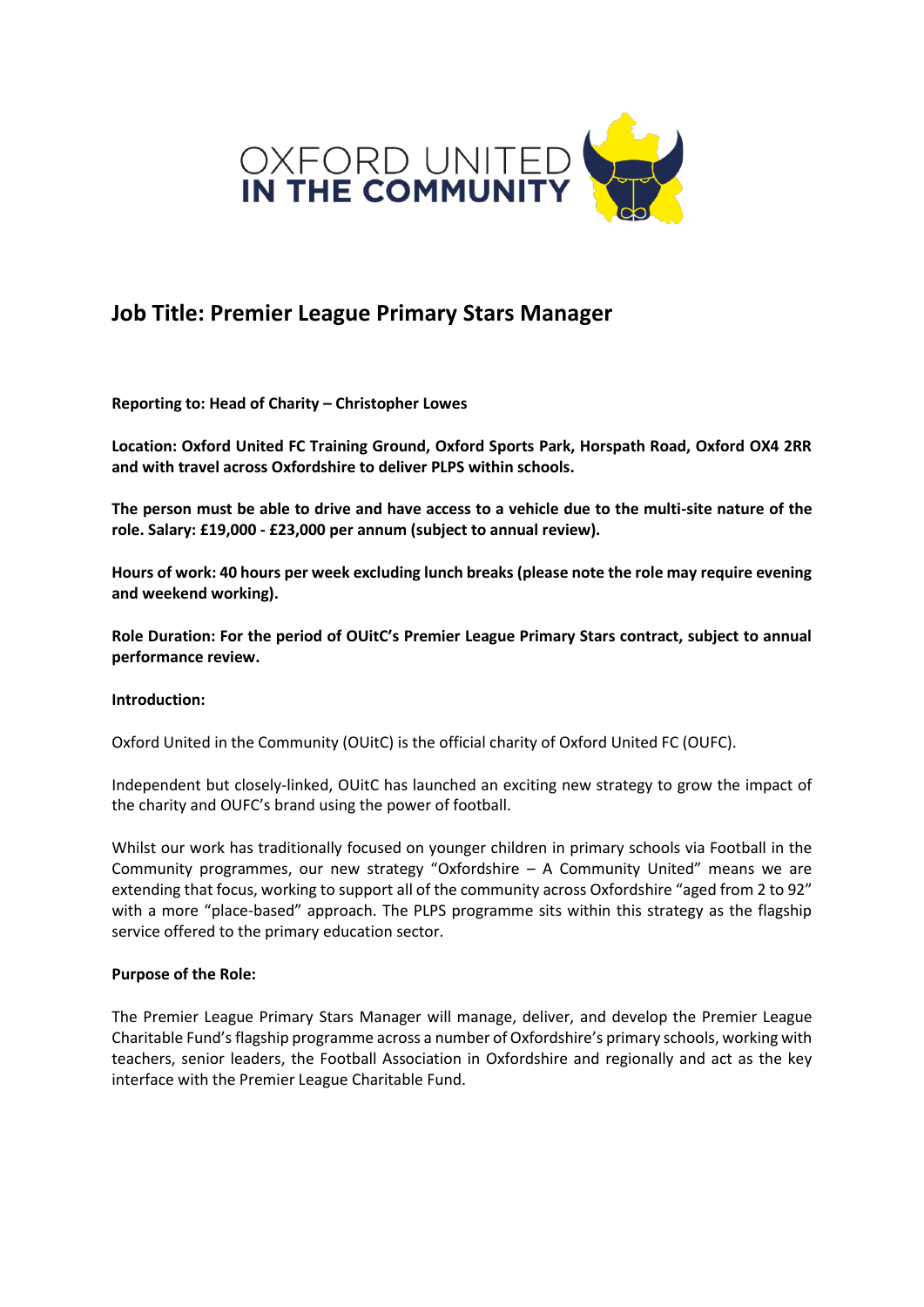

# **Job Title: Premier League Primary Stars Manager**

**Reporting to: Head of Charity – Christopher Lowes** 

**Location: Oxford United FC Training Ground, Oxford Sports Park, Horspath Road, Oxford OX4 2RR and with travel across Oxfordshire to deliver PLPS within schools.** 

**The person must be able to drive and have access to a vehicle due to the multi-site nature of the role. Salary: £19,000 - £23,000 per annum (subject to annual review).** 

**Hours of work: 40 hours per week excluding lunch breaks (please note the role may require evening and weekend working).** 

**Role Duration: For the period of OUitC's Premier League Primary Stars contract, subject to annual performance review.** 

## **Introduction:**

Oxford United in the Community (OUitC) is the official charity of Oxford United FC (OUFC).

Independent but closely-linked, OUitC has launched an exciting new strategy to grow the impact of the charity and OUFC's brand using the power of football.

Whilst our work has traditionally focused on younger children in primary schools via Football in the Community programmes, our new strategy "Oxfordshire – A Community United" means we are extending that focus, working to support all of the community across Oxfordshire "aged from 2 to 92" with a more "place-based" approach. The PLPS programme sits within this strategy as the flagship service offered to the primary education sector.

## **Purpose of the Role:**

The Premier League Primary Stars Manager will manage, deliver, and develop the Premier League Charitable Fund's flagship programme across a number of Oxfordshire's primary schools, working with teachers, senior leaders, the Football Association in Oxfordshire and regionally and act as the key interface with the Premier League Charitable Fund.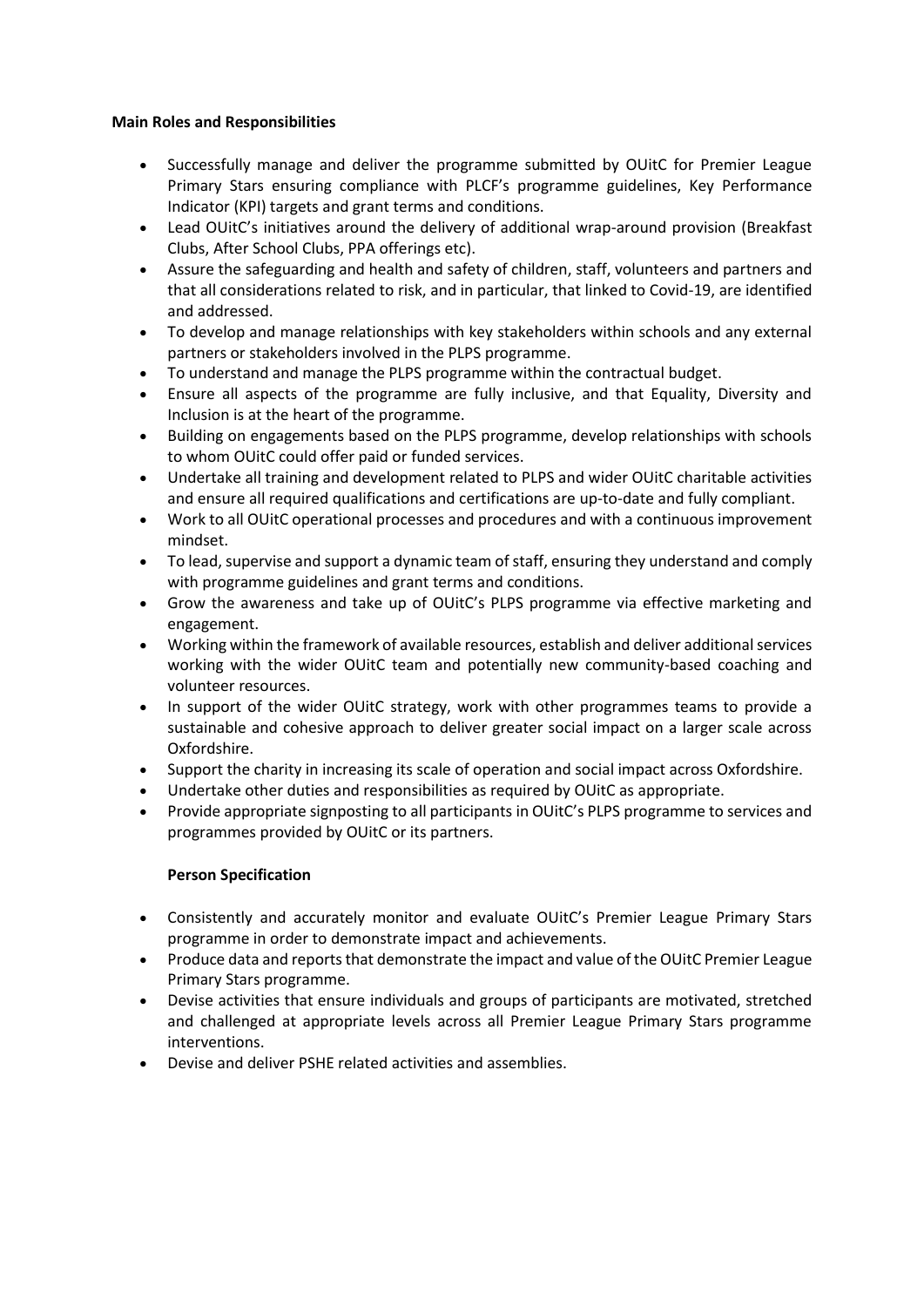## **Main Roles and Responsibilities**

- Successfully manage and deliver the programme submitted by OUitC for Premier League Primary Stars ensuring compliance with PLCF's programme guidelines, Key Performance Indicator (KPI) targets and grant terms and conditions.
- Lead OUitC's initiatives around the delivery of additional wrap-around provision (Breakfast Clubs, After School Clubs, PPA offerings etc).
- Assure the safeguarding and health and safety of children, staff, volunteers and partners and that all considerations related to risk, and in particular, that linked to Covid-19, are identified and addressed.
- To develop and manage relationships with key stakeholders within schools and any external partners or stakeholders involved in the PLPS programme.
- To understand and manage the PLPS programme within the contractual budget.
- Ensure all aspects of the programme are fully inclusive, and that Equality, Diversity and Inclusion is at the heart of the programme.
- Building on engagements based on the PLPS programme, develop relationships with schools to whom OUitC could offer paid or funded services.
- Undertake all training and development related to PLPS and wider OUitC charitable activities and ensure all required qualifications and certifications are up-to-date and fully compliant.
- Work to all OUitC operational processes and procedures and with a continuous improvement mindset.
- To lead, supervise and support a dynamic team of staff, ensuring they understand and comply with programme guidelines and grant terms and conditions.
- Grow the awareness and take up of OUitC's PLPS programme via effective marketing and engagement.
- Working within the framework of available resources, establish and deliver additional services working with the wider OUitC team and potentially new community-based coaching and volunteer resources.
- In support of the wider OUitC strategy, work with other programmes teams to provide a sustainable and cohesive approach to deliver greater social impact on a larger scale across Oxfordshire.
- Support the charity in increasing its scale of operation and social impact across Oxfordshire.
- Undertake other duties and responsibilities as required by OUitC as appropriate.
- Provide appropriate signposting to all participants in OUitC's PLPS programme to services and programmes provided by OUitC or its partners.

## **Person Specification**

- Consistently and accurately monitor and evaluate OUitC's Premier League Primary Stars programme in order to demonstrate impact and achievements.
- Produce data and reports that demonstrate the impact and value of the OUitC Premier League Primary Stars programme.
- Devise activities that ensure individuals and groups of participants are motivated, stretched and challenged at appropriate levels across all Premier League Primary Stars programme interventions.
- Devise and deliver PSHE related activities and assemblies.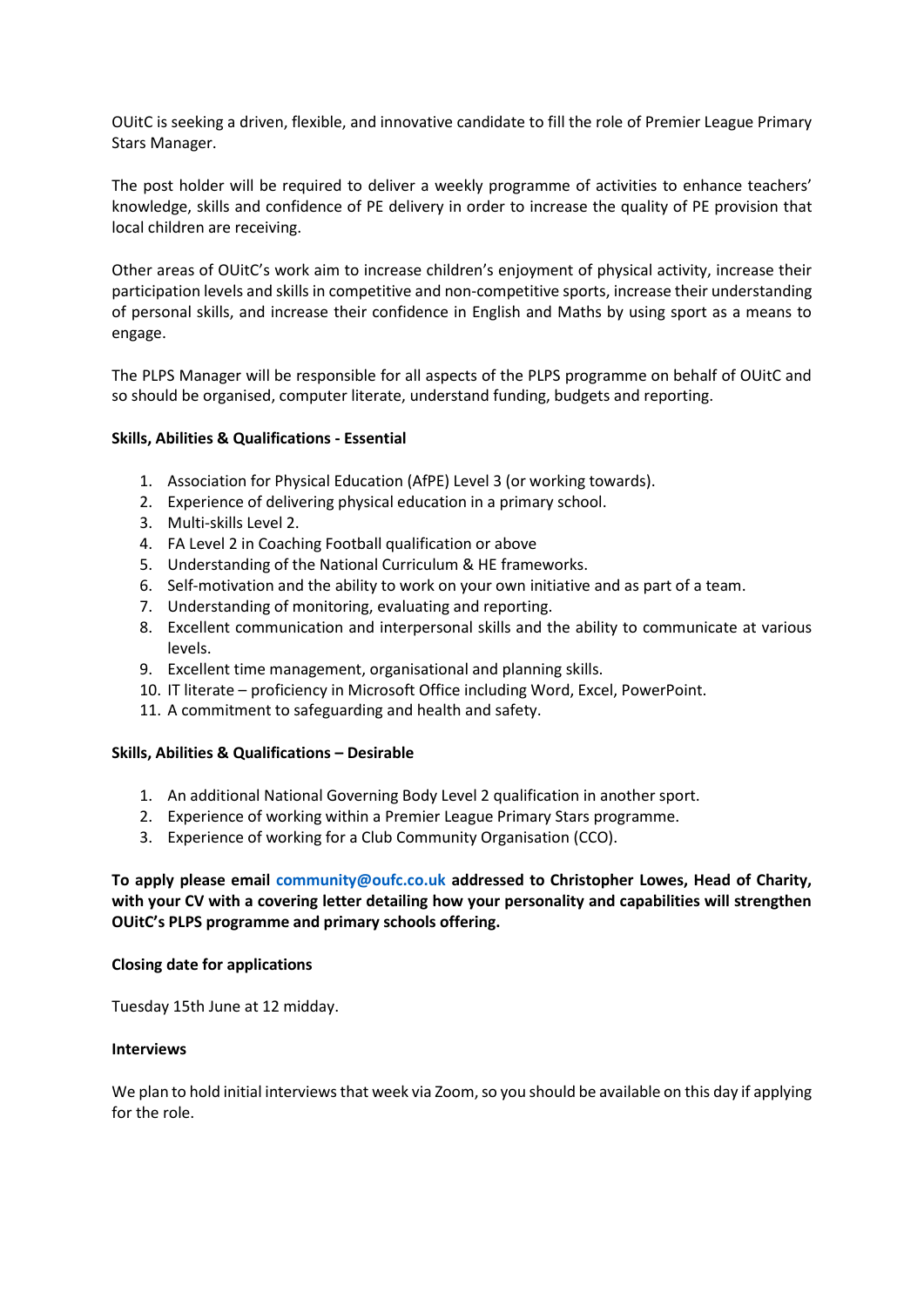OUitC is seeking a driven, flexible, and innovative candidate to fill the role of Premier League Primary Stars Manager.

The post holder will be required to deliver a weekly programme of activities to enhance teachers' knowledge, skills and confidence of PE delivery in order to increase the quality of PE provision that local children are receiving.

Other areas of OUitC's work aim to increase children's enjoyment of physical activity, increase their participation levels and skills in competitive and non-competitive sports, increase their understanding of personal skills, and increase their confidence in English and Maths by using sport as a means to engage.

The PLPS Manager will be responsible for all aspects of the PLPS programme on behalf of OUitC and so should be organised, computer literate, understand funding, budgets and reporting.

## **Skills, Abilities & Qualifications - Essential**

- 1. Association for Physical Education (AfPE) Level 3 (or working towards).
- 2. Experience of delivering physical education in a primary school.
- 3. Multi-skills Level 2.
- 4. FA Level 2 in Coaching Football qualification or above
- 5. Understanding of the National Curriculum & HE frameworks.
- 6. Self-motivation and the ability to work on your own initiative and as part of a team.
- 7. Understanding of monitoring, evaluating and reporting.
- 8. Excellent communication and interpersonal skills and the ability to communicate at various levels.
- 9. Excellent time management, organisational and planning skills.
- 10. IT literate proficiency in Microsoft Office including Word, Excel, PowerPoint.
- 11. A commitment to safeguarding and health and safety.

## **Skills, Abilities & Qualifications – Desirable**

- 1. An additional National Governing Body Level 2 qualification in another sport.
- 2. Experience of working within a Premier League Primary Stars programme.
- 3. Experience of working for a Club Community Organisation (CCO).

**To apply please email community@oufc.co.uk addressed to Christopher Lowes, Head of Charity, with your CV with a covering letter detailing how your personality and capabilities will strengthen OUitC's PLPS programme and primary schools offering.** 

## **Closing date for applications**

Tuesday 15th June at 12 midday.

## **Interviews**

We plan to hold initial interviews that week via Zoom, so you should be available on this day if applying for the role.